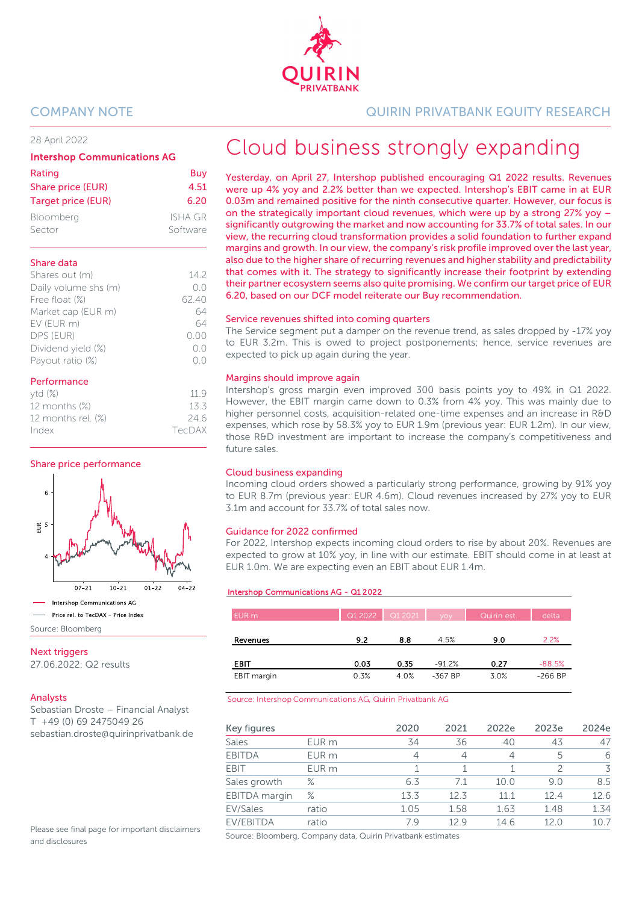

### 28 April 2022

### Intershop Communications AG

| Rating                    | Buy      |
|---------------------------|----------|
| Share price (EUR)         | 4.51     |
| <b>Target price (EUR)</b> | 6.20     |
| Bloomberg                 | ISHA GR  |
| Sector                    | Software |

### Share data

| Shares out (m)       | 142   |
|----------------------|-------|
| Daily volume shs (m) | ()()  |
| Free float (%)       | 62.40 |
| Market cap (EUR m)   | 64    |
| EV (EUR m)           | 64    |
| DPS (EUR)            | 0.00  |
| Dividend yield (%)   | ()()  |
| Payout ratio (%)     |       |

### Performance

| ytd(%)                | 119    |
|-----------------------|--------|
| 12 months (%)         | 13.3   |
| 12 months rel. $(\%)$ | 24.6   |
| Index                 | TecDAX |
|                       |        |

### Share price performance



### Next triggers

27.06.2022: Q2 results

### Analysts

Sebastian Droste – Financial Analyst T +49 (0) 69 2475049 26 sebastian.droste@quirinprivatbank.de

Please see final page for important disclaimers and disclosures

### COMPANY NOTE QUIRIN PRIVATBANK EQUITY RESEARCH

# Cloud business strongly expanding

Yesterday, on April 27, Intershop published encouraging Q1 2022 results. Revenues were up 4% yoy and 2.2% better than we expected. Intershop's EBIT came in at EUR 0.03m and remained positive for the ninth consecutive quarter. However, our focus is on the strategically important cloud revenues, which were up by a strong 27% yoy – significantly outgrowing the market and now accounting for 33.7% of total sales. In our view, the recurring cloud transformation provides a solid foundation to further expand margins and growth. In our view, the company's risk profile improved over the last year, also due to the higher share of recurring revenues and higher stability and predictability that comes with it. The strategy to significantly increase their footprint by extending their partner ecosystem seems also quite promising. We confirm our target price of EUR 6.20, based on our DCF model reiterate our Buy recommendation.

### Service revenues shifted into coming quarters

The Service segment put a damper on the revenue trend, as sales dropped by -17% yoy to EUR 3.2m. This is owed to project postponements; hence, service revenues are expected to pick up again during the year.

### Margins should improve again

Intershop's gross margin even improved 300 basis points yoy to 49% in Q1 2022. However, the EBIT margin came down to 0.3% from 4% yoy. This was mainly due to higher personnel costs, acquisition-related one-time expenses and an increase in R&D expenses, which rose by 58.3% yoy to EUR 1.9m (previous year: EUR 1.2m). In our view, those R&D investment are important to increase the company's competitiveness and future sales.

### Cloud business expanding

Incoming cloud orders showed a particularly strong performance, growing by 91% yoy to EUR 8.7m (previous year: EUR 4.6m). Cloud revenues increased by 27% yoy to EUR 3.1m and account for 33.7% of total sales now.

### Guidance for 2022 confirmed

For 2022, Intershop expects incoming cloud orders to rise by about 20%. Revenues are expected to grow at 10% yoy, in line with our estimate. EBIT should come in at least at EUR 1.0m. We are expecting even an EBIT about EUR 1.4m.

#### Intershop Communications AG - Q1 2022

| EUR <sub>m</sub> | Q1 2022 | Q1 2021 | <b>VOV</b> | Quirin est. | delta     |
|------------------|---------|---------|------------|-------------|-----------|
|                  |         |         |            |             |           |
| Revenues         | 9.2     | 8.8     | 4.5%       | 9.0         | 2.2%      |
| EBIT             | 0.03    | 0.35    | $-91.2%$   | 0.27        | $-88.5%$  |
| EBIT margin      | 0.3%    | 4.0%    | -367 BP    | 3.0%        | $-266$ BP |

#### Source: Intershop Communications AG, Quirin Privatbank AG

| Key figures          |                  | 2020 | 2021 | 2022e | 2023e       | 2024e |
|----------------------|------------------|------|------|-------|-------------|-------|
| Sales                | EUR <sub>m</sub> | 34   | 36   | 40    | 43          | 47    |
| <b>EBITDA</b>        | EUR <sub>m</sub> | 4    | 4    | 4     | 5           | 6     |
| <b>EBIT</b>          | EUR <sub>m</sub> |      |      |       |             | 3     |
| Sales growth         | $\%$             | 6.3  | 7.1  | 10.0  | 9.0         | 8.5   |
| <b>EBITDA</b> margin | $\%$             | 13.3 | 12.3 | 11 1  | 124         | 12.6  |
| EV/Sales             | ratio            | 1.05 | 1.58 | 1.63  | 1.48        | 1.34  |
| EV/EBITDA            | ratio            | 79   | 129  | 14.6  | 12 $\Omega$ | 107   |

Source: Bloomberg, Company data, Quirin Privatbank estimates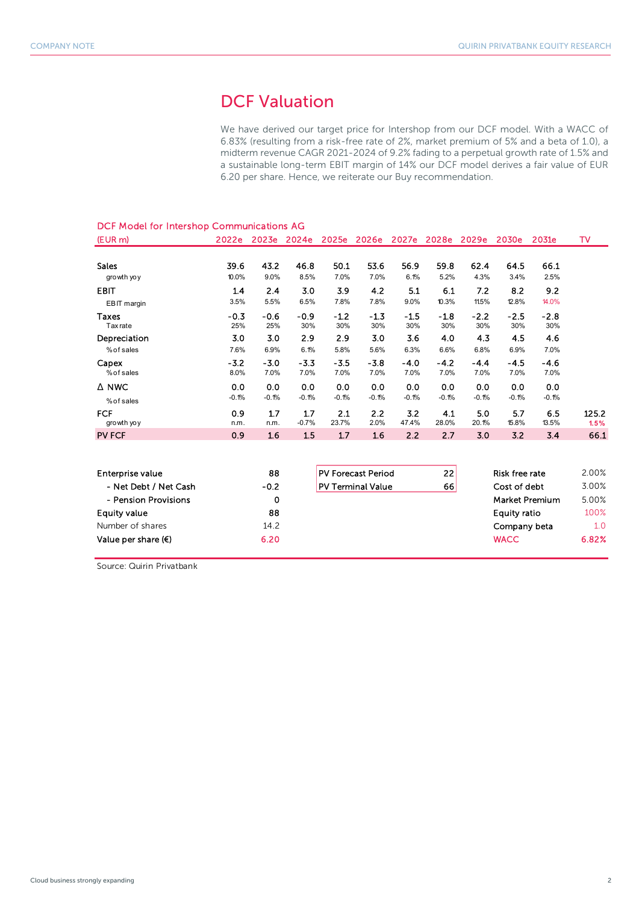### DCF Valuation

We have derived our target price for Intershop from our DCF model. With a WACC of 6.83% (resulting from a risk-free rate of 2%, market premium of 5% and a beta of 1.0), a midterm revenue CAGR 2021-2024 of 9.2% fading to a perpetual growth rate of 1.5% and a sustainable long-term EBIT margin of 14% our DCF model derives a fair value of EUR 6.20 per share. Hence, we reiterate our Buy recommendation.

| DCF Model for Intershop Communications AG |                |                |                |                |                           |                |                   |                |                       |                       |               |
|-------------------------------------------|----------------|----------------|----------------|----------------|---------------------------|----------------|-------------------|----------------|-----------------------|-----------------------|---------------|
| (EUR <sub>m</sub> )                       | 2022e          | 2023e 2024e    |                | 2025e          | 2026e                     |                | 2027e 2028e 2029e |                | 2030e                 | 2031e                 | <b>TV</b>     |
| <b>Sales</b><br>growth yoy                | 39.6<br>10.0%  | 43.2<br>9.0%   | 46.8<br>8.5%   | 50.1<br>7.0%   | 53.6<br>7.0%              | 56.9<br>6.1%   | 59.8<br>5.2%      | 62.4<br>4.3%   | 64.5<br>3.4%          | 66.1<br>2.5%          |               |
| <b>EBIT</b><br>EBIT margin                | 1.4<br>3.5%    | 2.4<br>5.5%    | 3.0<br>6.5%    | 3.9<br>7.8%    | 4.2<br>7.8%               | 5.1<br>9.0%    | 6.1<br>10.3%      | 7.2<br>11.5%   | 8.2<br>12.8%          | 9.2<br>14.0%          |               |
| <b>Taxes</b><br><b>Tax</b> rate           | $-0.3$<br>25%  | $-0.6$<br>25%  | $-0.9$<br>30%  | $-1.2$<br>30%  | $-1.3$<br>30%             | $-1.5$<br>30%  | $-1.8$<br>30%     | $-2.2$<br>30%  | $-2.5$<br>30%         | $-2.8$<br>30%         |               |
| Depreciation<br>% of sales                | 3.0<br>7.6%    | 3.0<br>6.9%    | 2.9<br>6.1%    | 2.9<br>5.8%    | 3.0<br>5.6%               | 3.6<br>6.3%    | 4.0<br>6.6%       | 4.3<br>6.8%    | 4.5<br>6.9%           | 4.6<br>7.0%           |               |
| Capex<br>% of sales                       | $-3.2$<br>8.0% | $-3.0$<br>7.0% | $-3.3$<br>7.0% | $-3.5$<br>7.0% | $-3.8$<br>7.0%            | $-4.0$<br>7.0% | $-4.2$<br>7.0%    | $-4.4$<br>7.0% | $-4.5$<br>7.0%        | $-4.6$<br>7.0%        |               |
| $\triangle$ NWC<br>% of sales             | 0.0<br>$-0.1%$ | 0.0<br>$-0.1%$ | 0.0<br>$-0.1%$ | 0.0<br>$-0.1%$ | 0.0<br>$-0.1%$            | 0.0<br>$-0.1%$ | 0.0<br>$-0.1%$    | 0.0<br>$-0.1%$ | 0.0<br>$-0.1%$        | 0.0<br>$-0.1%$        |               |
| <b>FCF</b><br>growth yoy                  | 0.9<br>n.m.    | 1.7<br>n.m.    | 1.7<br>$-0.7%$ | 2.1<br>23.7%   | 2.2<br>2.0%               | 3.2<br>47.4%   | 4.1<br>28.0%      | 5.0<br>20.1%   | 5.7<br>15.8%          | 6.5<br>13.5%          | 125.2<br>1.5% |
| <b>PV FCF</b>                             | 0.9            | 1.6            | 1.5            | 1.7            | 1.6                       | 2.2            | 2.7               | 3.0            | 3.2                   | 3.4                   | 66.1          |
|                                           |                |                |                |                |                           |                |                   |                |                       |                       |               |
| Enterprise value                          |                | 88             |                |                | <b>PV Forecast Period</b> |                | 22                |                | <b>Risk free rate</b> |                       | 2.00%         |
| - Net Debt / Net Cash                     |                | $-0.2$         |                |                | <b>PV Terminal Value</b>  |                | 66                |                | Cost of debt          |                       | 3.00%         |
| - Pension Provisions                      |                | 0              |                |                |                           |                |                   |                |                       | <b>Market Premium</b> | 5.00%         |
| <b>Equity value</b>                       |                | 88             |                |                |                           |                |                   |                | <b>Equity ratio</b>   |                       | 100%          |
| Number of shares                          |                | 14.2           |                |                |                           |                |                   |                | Company beta          |                       | 1.0           |
| Value per share $(\epsilon)$              |                | 6.20           |                |                |                           |                |                   |                | <b>WACC</b>           |                       | 6.82%         |

Source: Quirin Privatbank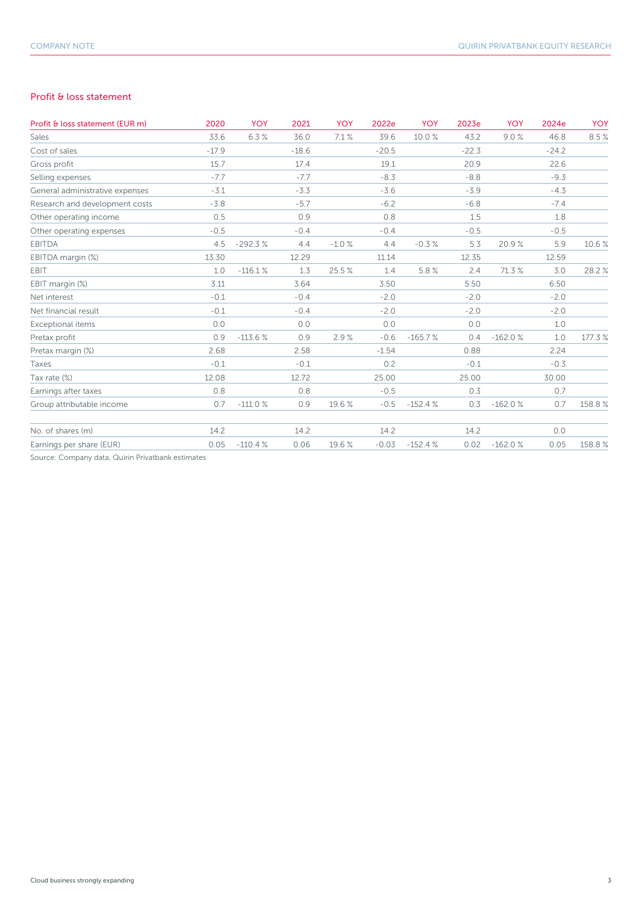### Profit & loss statement

| Profit & loss statement (EUR m)                   | 2020    | <b>YOY</b> | 2021    | YOY     | 2022e   | <b>YOY</b> | 2023e   | <b>YOY</b> | 2024e   | <b>YOY</b> |
|---------------------------------------------------|---------|------------|---------|---------|---------|------------|---------|------------|---------|------------|
| Sales                                             | 33.6    | 6.3%       | 36.0    | 7.1%    | 39.6    | 10.0%      | 43.2    | 9.0%       | 46.8    | 8.5%       |
| Cost of sales                                     | $-17.9$ |            | $-18.6$ |         | $-20.5$ |            | $-22.3$ |            | $-24.2$ |            |
| Gross profit                                      | 15.7    |            | 17.4    |         | 19.1    |            | 20.9    |            | 22.6    |            |
| Selling expenses                                  | $-7.7$  |            | $-7.7$  |         | $-8.3$  |            | $-8.8$  |            | $-9.3$  |            |
| General administrative expenses                   | $-3.1$  |            | $-3.3$  |         | $-3.6$  |            | $-3.9$  |            | $-4.3$  |            |
| Research and development costs                    | $-3.8$  |            | $-5.7$  |         | $-6.2$  |            | $-6.8$  |            | $-7.4$  |            |
| Other operating income                            | 0.5     |            | 0.9     |         | 0.8     |            | 1.5     |            | 1.8     |            |
| Other operating expenses                          | $-0.5$  |            | $-0.4$  |         | $-0.4$  |            | $-0.5$  |            | $-0.5$  |            |
| <b>EBITDA</b>                                     | 4.5     | $-292.3%$  | 4.4     | $-1.0%$ | 4.4     | $-0.3%$    | 5.3     | 20.9%      | 5.9     | 10.6%      |
| EBITDA margin (%)                                 | 13.30   |            | 12.29   |         | 11.14   |            | 12.35   |            | 12.59   |            |
| EBIT                                              | 1.0     | $-116.1%$  | 1.3     | 25.5%   | 1.4     | 5.8%       | 2.4     | 71.3 %     | 3.0     | 28.2%      |
| EBIT margin (%)                                   | 3.11    |            | 3.64    |         | 3.50    |            | 5.50    |            | 6.50    |            |
| Net interest                                      | $-0.1$  |            | $-0.4$  |         | $-2.0$  |            | $-2.0$  |            | $-2.0$  |            |
| Net financial result                              | $-0.1$  |            | $-0.4$  |         | $-2.0$  |            | $-2.0$  |            | $-2.0$  |            |
| Exceptional items                                 | 0.0     |            | 0.0     |         | 0.0     |            | 0.0     |            | 1.0     |            |
| Pretax profit                                     | 0.9     | $-113.6%$  | 0.9     | 2.9%    | $-0.6$  | $-165.7%$  | 0.4     | $-162.0%$  | 1.0     | 177.3%     |
| Pretax margin (%)                                 | 2.68    |            | 2.58    |         | $-1.54$ |            | 0.88    |            | 2.24    |            |
| Taxes                                             | $-0.1$  |            | $-0.1$  |         | 0.2     |            | $-0.1$  |            | $-0.3$  |            |
| Tax rate (%)                                      | 12.08   |            | 12.72   |         | 25.00   |            | 25.00   |            | 30.00   |            |
| Earnings after taxes                              | 0.8     |            | 0.8     |         | $-0.5$  |            | 0.3     |            | 0.7     |            |
| Group attributable income                         | 0.7     | $-111.0%$  | 0.9     | 19.6%   | $-0.5$  | $-152.4%$  | 0.3     | $-162.0%$  | 0.7     | 158.8%     |
| No. of shares (m)                                 | 14.2    |            | 14.2    |         | 14.2    |            | 14.2    |            | 0.0     |            |
| Earnings per share (EUR)                          | 0.05    | $-110.4%$  | 0.06    | 19.6%   | $-0.03$ | $-152.4%$  | 0.02    | $-162.0%$  | 0.05    | 158.8%     |
| Source: Company data, Quirin Privatbank estimates |         |            |         |         |         |            |         |            |         |            |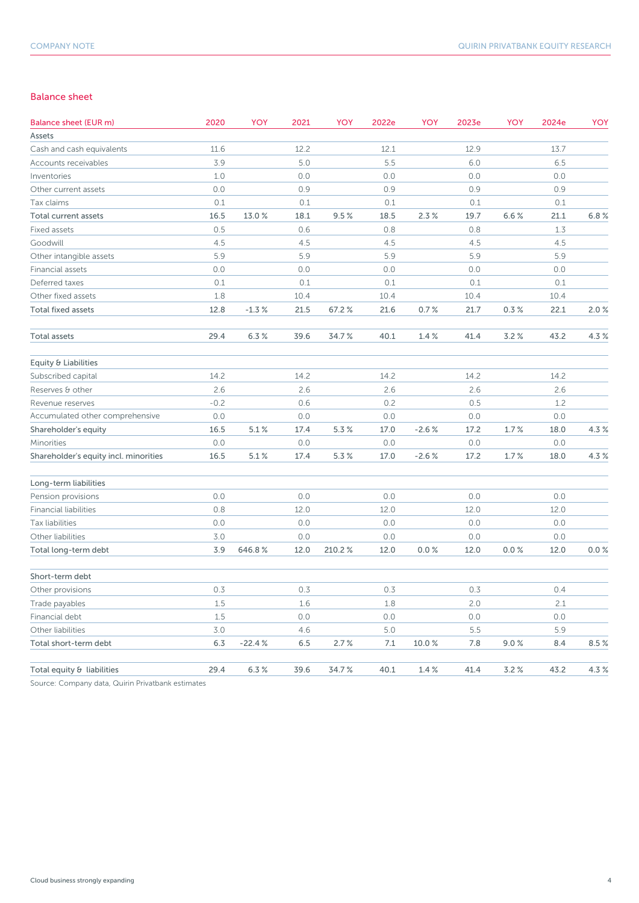### Balance sheet

| <b>Balance sheet (EUR m)</b>          | 2020   | YOY       | 2021 | YOY    | 2022e | YOY       | 2023e | YOY  | 2024e | YOY  |
|---------------------------------------|--------|-----------|------|--------|-------|-----------|-------|------|-------|------|
| Assets                                |        |           |      |        |       |           |       |      |       |      |
| Cash and cash equivalents             | 11.6   |           | 12.2 |        | 12.1  |           | 12.9  |      | 13.7  |      |
| Accounts receivables                  | 3.9    |           | 5.0  |        | 5.5   |           | 6.0   |      | 6.5   |      |
| Inventories                           | 1.0    |           | 0.0  |        | 0.0   |           | 0.0   |      | 0.0   |      |
| Other current assets                  | 0.0    |           | 0.9  |        | 0.9   |           | 0.9   |      | 0.9   |      |
| Tax claims                            | 0.1    |           | 0.1  |        | 0.1   |           | 0.1   |      | 0.1   |      |
| Total current assets                  | 16.5   | 13.0%     | 18.1 | 9.5%   | 18.5  | 2.3%      | 19.7  | 6.6% | 21.1  | 6.8% |
| Fixed assets                          | 0.5    |           | 0.6  |        | 0.8   |           | 0.8   |      | 1.3   |      |
| Goodwill                              | 4.5    |           | 4.5  |        | 4.5   |           | 4.5   |      | 4.5   |      |
| Other intangible assets               | 5.9    |           | 5.9  |        | 5.9   |           | 5.9   |      | 5.9   |      |
| Financial assets                      | 0.0    |           | 0.0  |        | 0.0   |           | 0.0   |      | 0.0   |      |
| Deferred taxes                        | 0.1    |           | 0.1  |        | 0.1   |           | 0.1   |      | 0.1   |      |
| Other fixed assets                    | 1.8    |           | 10.4 |        | 10.4  |           | 10.4  |      | 10.4  |      |
| <b>Total fixed assets</b>             | 12.8   | $-1.3%$   | 21.5 | 67.2%  | 21.6  | 0.7%      | 21.7  | 0.3% | 22.1  | 2.0% |
| <b>Total assets</b>                   | 29.4   | 6.3%      | 39.6 | 34.7%  | 40.1  | 1.4%      | 41.4  | 3.2% | 43.2  | 4.3% |
| Equity & Liabilities                  |        |           |      |        |       |           |       |      |       |      |
| Subscribed capital                    | 14.2   |           | 14.2 |        | 14.2  |           | 14.2  |      | 14.2  |      |
| Reserves & other                      | 2.6    |           | 2.6  |        | 2.6   |           | 2.6   |      | 2.6   |      |
| Revenue reserves                      | $-0.2$ |           | 0.6  |        | 0.2   |           | 0.5   |      | 1.2   |      |
| Accumulated other comprehensive       | 0.0    |           | 0.0  |        | 0.0   |           | 0.0   |      | 0.0   |      |
| Shareholder's equity                  | 16.5   | $5.1\,\%$ | 17.4 | 5.3 %  | 17.0  | $-2.6%$   | 17.2  | 1.7% | 18.0  | 4.3% |
| Minorities                            | 0.0    |           | 0.0  |        | 0.0   |           | 0.0   |      | 0.0   |      |
| Shareholder's equity incl. minorities | 16.5   | 5.1%      | 17.4 | 5.3%   | 17.0  | $-2.6%$   | 17.2  | 1.7% | 18.0  | 4.3% |
| Long-term liabilities                 |        |           |      |        |       |           |       |      |       |      |
| Pension provisions                    | 0.0    |           | 0.0  |        | 0.0   |           | 0.0   |      | 0.0   |      |
| <b>Financial liabilities</b>          | 0.8    |           | 12.0 |        | 12.0  |           | 12.0  |      | 12.0  |      |
| Tax liabilities                       | 0.0    |           | 0.0  |        | 0.0   |           | 0.0   |      | 0.0   |      |
| Other liabilities                     | 3.0    |           | 0.0  |        | 0.0   |           | 0.0   |      | 0.0   |      |
| Total long-term debt                  | 3.9    | 646.8%    | 12.0 | 210.2% | 12.0  | 0.0%      | 12.0  | 0.0% | 12.0  | 0.0% |
| Short-term debt                       |        |           |      |        |       |           |       |      |       |      |
| Other provisions                      | 0.3    |           | 0.3  |        | 0.3   |           | 0.3   |      | 0.4   |      |
| Trade payables                        | 1.5    |           | 1.6  |        | 1.8   |           | 2.0   |      | 2.1   |      |
| Financial debt                        | 1.5    |           | 0.0  |        | 0.0   |           | 0.0   |      | 0.0   |      |
| Other liabilities                     | 3.0    |           | 4.6  |        | 5.0   |           | 5.5   |      | 5.9   |      |
| Total short-term debt                 | 6.3    | $-22.4%$  | 6.5  | 2.7%   | 7.1   | 10.0%     | 7.8   | 9.0% | 8.4   | 8.5% |
| Total equity & liabilities            | 29.4   | 6.3%      | 39.6 | 34.7%  | 40.1  | $1.4\,\%$ | 41.4  | 3.2% | 43.2  | 4.3% |

Source: Company data, Quirin Privatbank estimates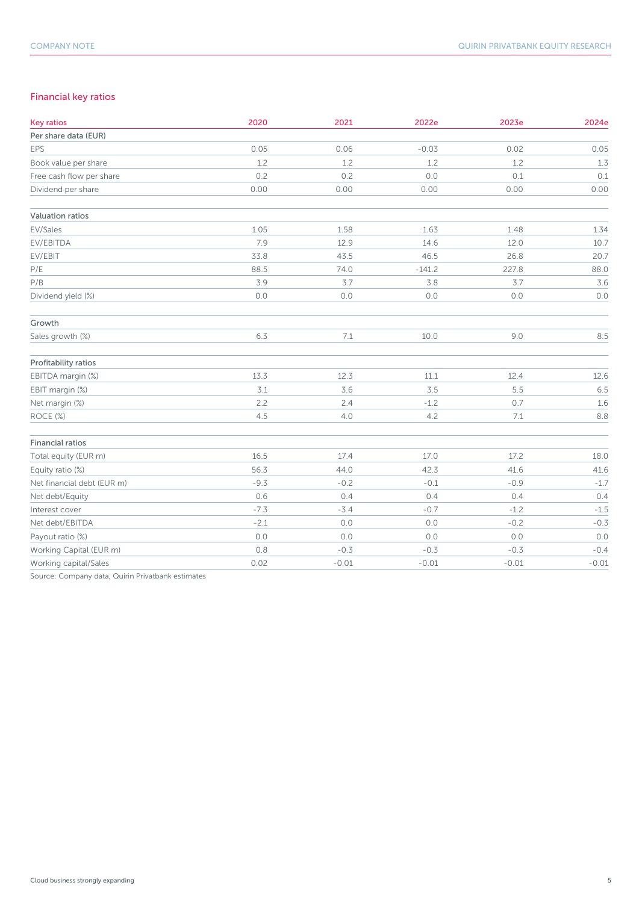### Financial key ratios

| <b>Key ratios</b>          | 2020   | 2021    | 2022e    | 2023e   | 2024e   |
|----------------------------|--------|---------|----------|---------|---------|
| Per share data (EUR)       |        |         |          |         |         |
| EPS                        | 0.05   | 0.06    | $-0.03$  | 0.02    | 0.05    |
| Book value per share       | 1.2    | 1.2     | 1.2      | 1.2     | 1.3     |
| Free cash flow per share   | 0.2    | 0.2     | 0.0      | 0.1     | 0.1     |
| Dividend per share         | 0.00   | 0.00    | 0.00     | 0.00    | 0.00    |
| Valuation ratios           |        |         |          |         |         |
| EV/Sales                   | 1.05   | 1.58    | 1.63     | 1.48    | 1.34    |
| EV/EBITDA                  | 7.9    | 12.9    | 14.6     | 12.0    | 10.7    |
| EV/EBIT                    | 33.8   | 43.5    | 46.5     | 26.8    | 20.7    |
| P/E                        | 88.5   | 74.0    | $-141.2$ | 227.8   | 88.0    |
| $\mathsf{P/B}$             | 3.9    | 3.7     | 3.8      | 3.7     | 3.6     |
| Dividend yield (%)         | 0.0    | 0.0     | 0.0      | 0.0     | 0.0     |
| Growth                     |        |         |          |         |         |
| Sales growth (%)           | 6.3    | 7.1     | 10.0     | 9.0     | 8.5     |
| Profitability ratios       |        |         |          |         |         |
| EBITDA margin (%)          | 13.3   | 12.3    | 11.1     | 12.4    | 12.6    |
| EBIT margin (%)            | 3.1    | 3.6     | 3.5      | 5.5     | 6.5     |
| Net margin (%)             | 2.2    | 2.4     | $-1.2$   | 0.7     | 1.6     |
| ROCE (%)                   | 4.5    | 4.0     | 4.2      | 7.1     | 8.8     |
| <b>Financial ratios</b>    |        |         |          |         |         |
| Total equity (EUR m)       | 16.5   | 17.4    | 17.0     | 17.2    | 18.0    |
| Equity ratio (%)           | 56.3   | 44.0    | 42.3     | 41.6    | 41.6    |
| Net financial debt (EUR m) | $-9.3$ | $-0.2$  | $-0.1$   | $-0.9$  | $-1.7$  |
| Net debt/Equity            | 0.6    | 0.4     | 0.4      | 0.4     | 0.4     |
| Interest cover             | $-7.3$ | $-3.4$  | $-0.7$   | $-1.2$  | $-1.5$  |
| Net debt/EBITDA            | $-2.1$ | 0.0     | $0.0$    | $-0.2$  | $-0.3$  |
| Payout ratio (%)           | 0.0    | 0.0     | 0.0      | 0.0     | 0.0     |
| Working Capital (EUR m)    | 0.8    | $-0.3$  | $-0.3$   | $-0.3$  | $-0.4$  |
| Working capital/Sales      | 0.02   | $-0.01$ | $-0.01$  | $-0.01$ | $-0.01$ |

Source: Company data, Quirin Privatbank estimates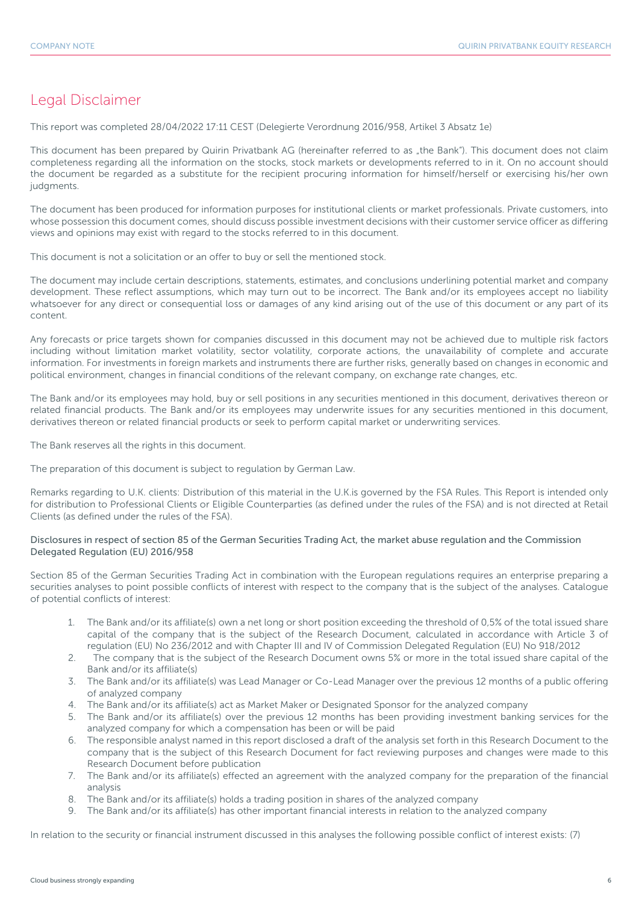### Legal Disclaimer

This report was completed 28/04/2022 17:11 CEST (Delegierte Verordnung 2016/958, Artikel 3 Absatz 1e)

This document has been prepared by Quirin Privatbank AG (hereinafter referred to as "the Bank"). This document does not claim completeness regarding all the information on the stocks, stock markets or developments referred to in it. On no account should the document be regarded as a substitute for the recipient procuring information for himself/herself or exercising his/her own judgments.

The document has been produced for information purposes for institutional clients or market professionals. Private customers, into whose possession this document comes, should discuss possible investment decisions with their customer service officer as differing views and opinions may exist with regard to the stocks referred to in this document.

This document is not a solicitation or an offer to buy or sell the mentioned stock.

The document may include certain descriptions, statements, estimates, and conclusions underlining potential market and company development. These reflect assumptions, which may turn out to be incorrect. The Bank and/or its employees accept no liability whatsoever for any direct or consequential loss or damages of any kind arising out of the use of this document or any part of its content.

Any forecasts or price targets shown for companies discussed in this document may not be achieved due to multiple risk factors including without limitation market volatility, sector volatility, corporate actions, the unavailability of complete and accurate information. For investments in foreign markets and instruments there are further risks, generally based on changes in economic and political environment, changes in financial conditions of the relevant company, on exchange rate changes, etc.

The Bank and/or its employees may hold, buy or sell positions in any securities mentioned in this document, derivatives thereon or related financial products. The Bank and/or its employees may underwrite issues for any securities mentioned in this document, derivatives thereon or related financial products or seek to perform capital market or underwriting services.

The Bank reserves all the rights in this document.

The preparation of this document is subject to regulation by German Law.

Remarks regarding to U.K. clients: Distribution of this material in the U.K.is governed by the FSA Rules. This Report is intended only for distribution to Professional Clients or Eligible Counterparties (as defined under the rules of the FSA) and is not directed at Retail Clients (as defined under the rules of the FSA).

### Disclosures in respect of section 85 of the German Securities Trading Act, the market abuse regulation and the Commission Delegated Regulation (EU) 2016/958

Section 85 of the German Securities Trading Act in combination with the European regulations requires an enterprise preparing a securities analyses to point possible conflicts of interest with respect to the company that is the subject of the analyses. Catalogue of potential conflicts of interest:

- 1. The Bank and/or its affiliate(s) own a net long or short position exceeding the threshold of 0,5% of the total issued share capital of the company that is the subject of the Research Document, calculated in accordance with Article 3 of regulation (EU) No 236/2012 and with Chapter III and IV of Commission Delegated Regulation (EU) No 918/2012
- 2. The company that is the subject of the Research Document owns 5% or more in the total issued share capital of the Bank and/or its affiliate(s)
- 3. The Bank and/or its affiliate(s) was Lead Manager or Co-Lead Manager over the previous 12 months of a public offering of analyzed company
- 4. The Bank and/or its affiliate(s) act as Market Maker or Designated Sponsor for the analyzed company
- 5. The Bank and/or its affiliate(s) over the previous 12 months has been providing investment banking services for the analyzed company for which a compensation has been or will be paid
- 6. The responsible analyst named in this report disclosed a draft of the analysis set forth in this Research Document to the company that is the subject of this Research Document for fact reviewing purposes and changes were made to this Research Document before publication
- 7. The Bank and/or its affiliate(s) effected an agreement with the analyzed company for the preparation of the financial analysis
- 8. The Bank and/or its affiliate(s) holds a trading position in shares of the analyzed company
- 9. The Bank and/or its affiliate(s) has other important financial interests in relation to the analyzed company

In relation to the security or financial instrument discussed in this analyses the following possible conflict of interest exists: (7)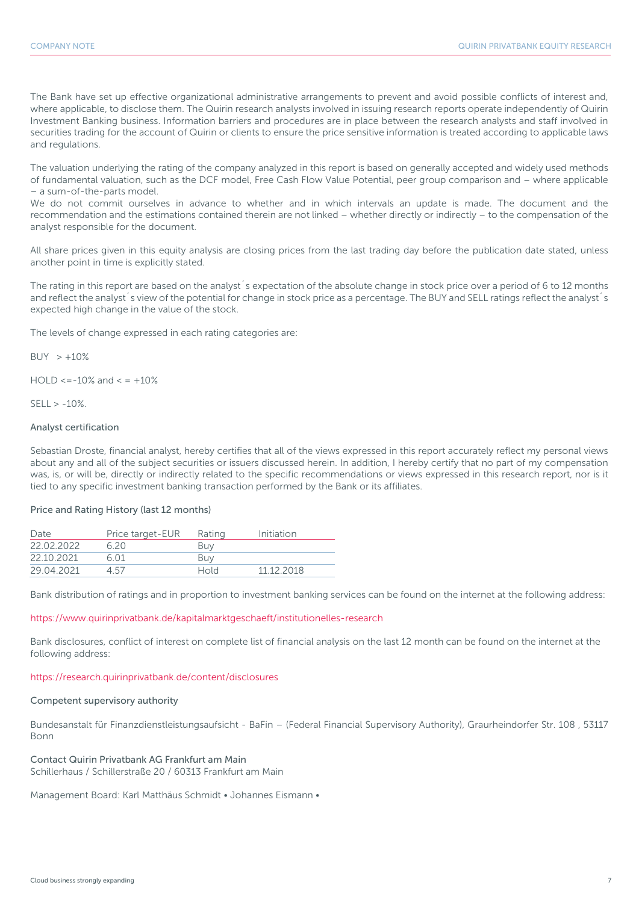The Bank have set up effective organizational administrative arrangements to prevent and avoid possible conflicts of interest and, where applicable, to disclose them. The Quirin research analysts involved in issuing research reports operate independently of Quirin Investment Banking business. Information barriers and procedures are in place between the research analysts and staff involved in securities trading for the account of Quirin or clients to ensure the price sensitive information is treated according to applicable laws and regulations.

The valuation underlying the rating of the company analyzed in this report is based on generally accepted and widely used methods of fundamental valuation, such as the DCF model, Free Cash Flow Value Potential, peer group comparison and – where applicable – a sum-of-the-parts model.

We do not commit ourselves in advance to whether and in which intervals an update is made. The document and the recommendation and the estimations contained therein are not linked – whether directly or indirectly – to the compensation of the analyst responsible for the document.

All share prices given in this equity analysis are closing prices from the last trading day before the publication date stated, unless another point in time is explicitly stated.

The rating in this report are based on the analyst´s expectation of the absolute change in stock price over a period of 6 to 12 months and reflect the analyst<sup>'</sup>s view of the potential for change in stock price as a percentage. The BUY and SELL ratings reflect the analyst's expected high change in the value of the stock.

The levels of change expressed in each rating categories are:

 $BUY > +10%$ 

 $HOLD \le -10\%$  and  $\le +10\%$ 

 $SFII > -10%$ 

### Analyst certification

Sebastian Droste, financial analyst, hereby certifies that all of the views expressed in this report accurately reflect my personal views about any and all of the subject securities or issuers discussed herein. In addition, I hereby certify that no part of my compensation was, is, or will be, directly or indirectly related to the specific recommendations or views expressed in this research report, nor is it tied to any specific investment banking transaction performed by the Bank or its affiliates.

### Price and Rating History (last 12 months)

| Date       | Price target-EUR | Rating | Initiation |
|------------|------------------|--------|------------|
| 22 02 2022 | 620              | Buy    |            |
| 22 10 2021 | 6 O 1            | Buv    |            |
| 29.04.2021 | 4 57             | Hold   | 11 12 2018 |

Bank distribution of ratings and in proportion to investment banking services can be found on the internet at the following address:

### https://www.quirinprivatbank.de/kapitalmarktgeschaeft/institutionelles-research

Bank disclosures, conflict of interest on complete list of financial analysis on the last 12 month can be found on the internet at the following address:

### https://research.quirinprivatbank.de/content/disclosures

### Competent supervisory authority

Bundesanstalt für Finanzdienstleistungsaufsicht - BaFin – (Federal Financial Supervisory Authority), Graurheindorfer Str. 108 , 53117 Bonn

### Contact Quirin Privatbank AG Frankfurt am Main

Schillerhaus / Schillerstraße 20 / 60313 Frankfurt am Main

Management Board: Karl Matthäus Schmidt • Johannes Eismann •